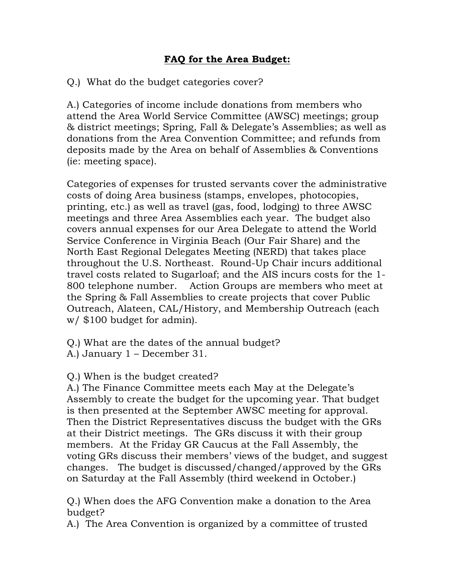## FAQ for the Area Budget:

Q.) What do the budget categories cover?

A.) Categories of income include donations from members who attend the Area World Service Committee (AWSC) meetings; group & district meetings; Spring, Fall & Delegate's Assemblies; as well as donations from the Area Convention Committee; and refunds from deposits made by the Area on behalf of Assemblies & Conventions (ie: meeting space).

Categories of expenses for trusted servants cover the administrative costs of doing Area business (stamps, envelopes, photocopies, printing, etc.) as well as travel (gas, food, lodging) to three AWSC meetings and three Area Assemblies each year. The budget also covers annual expenses for our Area Delegate to attend the World Service Conference in Virginia Beach (Our Fair Share) and the North East Regional Delegates Meeting (NERD) that takes place throughout the U.S. Northeast. Round-Up Chair incurs additional travel costs related to Sugarloaf; and the AIS incurs costs for the 1- 800 telephone number. Action Groups are members who meet at the Spring & Fall Assemblies to create projects that cover Public Outreach, Alateen, CAL/History, and Membership Outreach (each w/ \$100 budget for admin).

Q.) What are the dates of the annual budget?

A.) January 1 – December 31.

Q.) When is the budget created?

A.) The Finance Committee meets each May at the Delegate's Assembly to create the budget for the upcoming year. That budget is then presented at the September AWSC meeting for approval. Then the District Representatives discuss the budget with the GRs at their District meetings. The GRs discuss it with their group members. At the Friday GR Caucus at the Fall Assembly, the voting GRs discuss their members' views of the budget, and suggest changes. The budget is discussed/changed/approved by the GRs on Saturday at the Fall Assembly (third weekend in October.)

Q.) When does the AFG Convention make a donation to the Area budget?

A.) The Area Convention is organized by a committee of trusted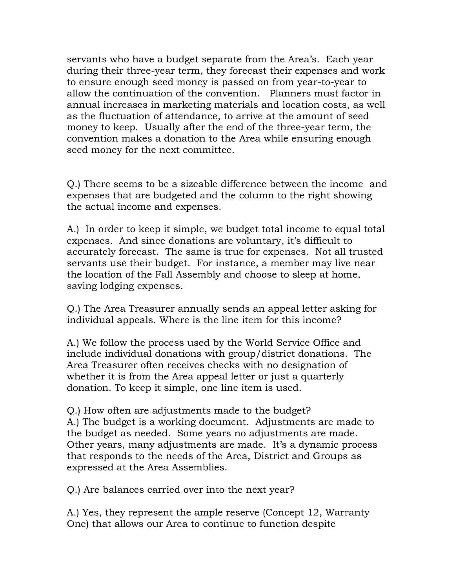servants who have a budget separate from the Area's. Each year during their three-year term, they forecast their expenses and work to ensure enough seed money is passed on from year-to-year to allow the continuation of the convention. Planners must factor in annual increases in marketing materials and location costs, as well as the fluctuation of attendance, to arrive at the amount of seed money to keep. Usually after the end of the three-year term, the convention makes a donation to the Area while ensuring enough seed money for the next committee.

Q.) There seems to be a sizeable difference between the income and expenses that are budgeted and the column to the right showing the actual income and expenses.

A.) In order to keep it simple, we budget total income to equal total expenses. And since donations are voluntary, it's difficult to accurately forecast. The same is true for expenses. Not all trusted servants use their budget. For instance, a member may live near the location of the Fall Assembly and choose to sleep at home, saving lodging expenses.

Q.) The Area Treasurer annually sends an appeal letter asking for individual appeals. Where is the line item for this income?

A.) We follow the process used by the World Service Office and include individual donations with group/district donations. The Area Treasurer often receives checks with no designation of whether it is from the Area appeal letter or just a quarterly donation. To keep it simple, one line item is used.

Q.) How often are adjustments made to the budget? A.) The budget is a working document. Adjustments are made to the budget as needed. Some years no adjustments are made. Other years, many adjustments are made. It's a dynamic process that responds to the needs of the Area, District and Groups as expressed at the Area Assemblies.

Q.) Are balances carried over into the next year?

A.) Yes, they represent the ample reserve (Concept 12, Warranty One) that allows our Area to continue to function despite